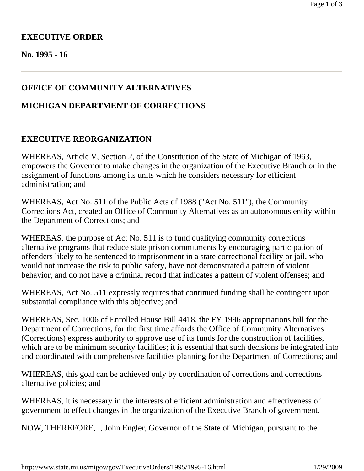# **EXECUTIVE ORDER**

#### **No. 1995 - 16**

## **OFFICE OF COMMUNITY ALTERNATIVES**

### **MICHIGAN DEPARTMENT OF CORRECTIONS**

#### **EXECUTIVE REORGANIZATION**

WHEREAS, Article V, Section 2, of the Constitution of the State of Michigan of 1963, empowers the Governor to make changes in the organization of the Executive Branch or in the assignment of functions among its units which he considers necessary for efficient administration; and

WHEREAS, Act No. 511 of the Public Acts of 1988 ("Act No. 511"), the Community Corrections Act, created an Office of Community Alternatives as an autonomous entity within the Department of Corrections; and

WHEREAS, the purpose of Act No. 511 is to fund qualifying community corrections alternative programs that reduce state prison commitments by encouraging participation of offenders likely to be sentenced to imprisonment in a state correctional facility or jail, who would not increase the risk to public safety, have not demonstrated a pattern of violent behavior, and do not have a criminal record that indicates a pattern of violent offenses; and

WHEREAS, Act No. 511 expressly requires that continued funding shall be contingent upon substantial compliance with this objective; and

WHEREAS, Sec. 1006 of Enrolled House Bill 4418, the FY 1996 appropriations bill for the Department of Corrections, for the first time affords the Office of Community Alternatives (Corrections) express authority to approve use of its funds for the construction of facilities, which are to be minimum security facilities; it is essential that such decisions be integrated into and coordinated with comprehensive facilities planning for the Department of Corrections; and

WHEREAS, this goal can be achieved only by coordination of corrections and corrections alternative policies; and

WHEREAS, it is necessary in the interests of efficient administration and effectiveness of government to effect changes in the organization of the Executive Branch of government.

NOW, THEREFORE, I, John Engler, Governor of the State of Michigan, pursuant to the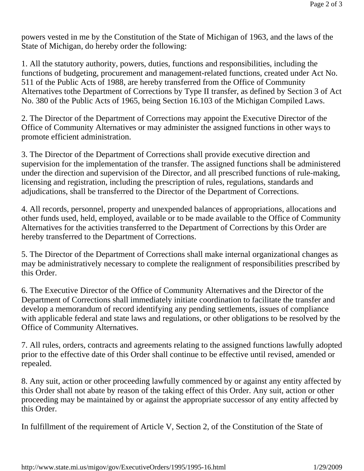powers vested in me by the Constitution of the State of Michigan of 1963, and the laws of the State of Michigan, do hereby order the following:

1. All the statutory authority, powers, duties, functions and responsibilities, including the functions of budgeting, procurement and management-related functions, created under Act No. 511 of the Public Acts of 1988, are hereby transferred from the Office of Community Alternatives tothe Department of Corrections by Type II transfer, as defined by Section 3 of Act No. 380 of the Public Acts of 1965, being Section 16.103 of the Michigan Compiled Laws.

2. The Director of the Department of Corrections may appoint the Executive Director of the Office of Community Alternatives or may administer the assigned functions in other ways to promote efficient administration.

3. The Director of the Department of Corrections shall provide executive direction and supervision for the implementation of the transfer. The assigned functions shall be administered under the direction and supervision of the Director, and all prescribed functions of rule-making, licensing and registration, including the prescription of rules, regulations, standards and adjudications, shall be transferred to the Director of the Department of Corrections.

4. All records, personnel, property and unexpended balances of appropriations, allocations and other funds used, held, employed, available or to be made available to the Office of Community Alternatives for the activities transferred to the Department of Corrections by this Order are hereby transferred to the Department of Corrections.

5. The Director of the Department of Corrections shall make internal organizational changes as may be administratively necessary to complete the realignment of responsibilities prescribed by this Order.

6. The Executive Director of the Office of Community Alternatives and the Director of the Department of Corrections shall immediately initiate coordination to facilitate the transfer and develop a memorandum of record identifying any pending settlements, issues of compliance with applicable federal and state laws and regulations, or other obligations to be resolved by the Office of Community Alternatives.

7. All rules, orders, contracts and agreements relating to the assigned functions lawfully adopted prior to the effective date of this Order shall continue to be effective until revised, amended or repealed.

8. Any suit, action or other proceeding lawfully commenced by or against any entity affected by this Order shall not abate by reason of the taking effect of this Order. Any suit, action or other proceeding may be maintained by or against the appropriate successor of any entity affected by this Order.

In fulfillment of the requirement of Article V, Section 2, of the Constitution of the State of